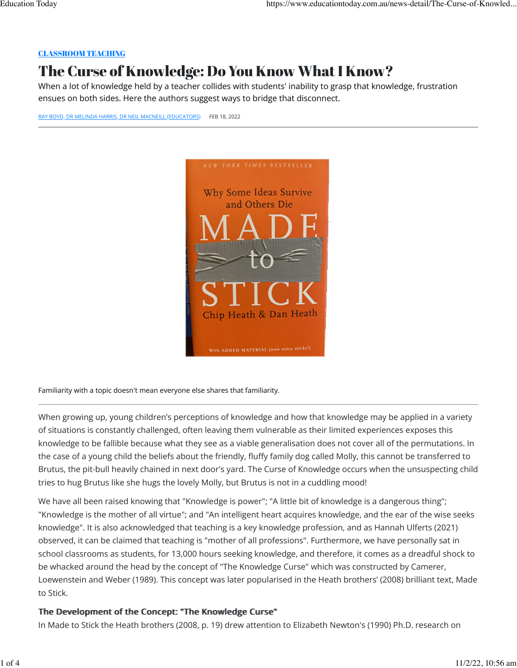# [CLASSROOM TEACHING](https://www.educationtoday.com.au/subjects/Classroom%20Teaching)

# The Curse of Knowledge: Do You Know What I Know?

When a lot of knowledge held by a teacher collides with students' inability to grasp that knowledge, frustration ensues on both sides. Here the authors suggest ways to bridge that disconnect.

[RAY BOYD, DR MELINDA HARRIS, DR NEIL MACNEILL \(EDUCATORS\)](https://www.educationtoday.com.au/news-detail/The-Curse-of-Knowledge-5523#) FEB 18, 2022



Familiarity with a topic doesn't mean everyone else shares that familiarity.

When growing up, young children's perceptions of knowledge and how that knowledge may be applied in a variety of situations is constantly challenged, often leaving them vulnerable as their limited experiences exposes this knowledge to be fallible because what they see as a viable generalisation does not cover all of the permutations. In the case of a young child the beliefs about the friendly, fluffy family dog called Molly, this cannot be transferred to Brutus, the pit-bull heavily chained in next door's yard. The Curse of Knowledge occurs when the unsuspecting child tries to hug Brutus like she hugs the lovely Molly, but Brutus is not in a cuddling mood!

We have all been raised knowing that "Knowledge is power"; "A little bit of knowledge is a dangerous thing"; "Knowledge is the mother of all virtue"; and "An intelligent heart acquires knowledge, and the ear of the wise seeks knowledge". It is also acknowledged that teaching is a key knowledge profession, and as Hannah Ulferts (2021) observed, it can be claimed that teaching is "mother of all professions". Furthermore, we have personally sat in school classrooms as students, for 13,000 hours seeking knowledge, and therefore, it comes as a dreadful shock to be whacked around the head by the concept of "The Knowledge Curse" which was constructed by Camerer, Loewenstein and Weber (1989). This concept was later popularised in the Heath brothers' (2008) brilliant text, Made to Stick.

# The Development of the Concept: "The Knowledge Curse"

In Made to Stick the Heath brothers (2008, p. 19) drew attention to Elizabeth Newton's (1990) Ph.D. research on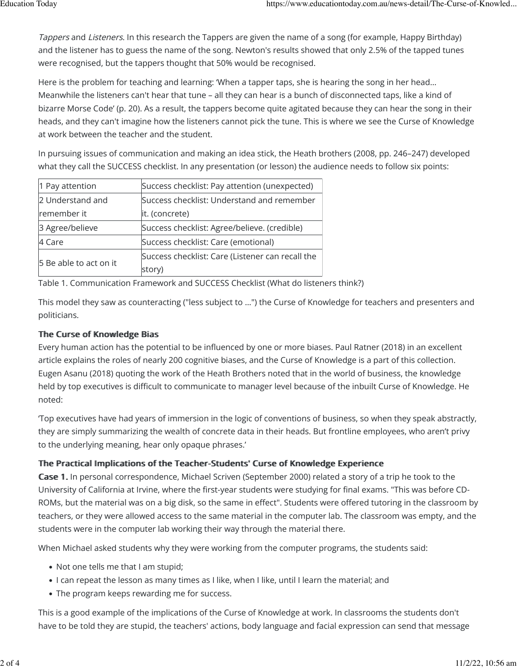Tappers and Listeners. In this research the Tappers are given the name of a song (for example, Happy Birthday) and the listener has to guess the name of the song. Newton's results showed that only 2.5% of the tapped tunes were recognised, but the tappers thought that 50% would be recognised.

Here is the problem for teaching and learning: 'When a tapper taps, she is hearing the song in her head… Meanwhile the listeners can't hear that tune – all they can hear is a bunch of disconnected taps, like a kind of bizarre Morse Code' (p. 20). As a result, the tappers become quite agitated because they can hear the song in their heads, and they can't imagine how the listeners cannot pick the tune. This is where we see the Curse of Knowledge at work between the teacher and the student.

In pursuing issues of communication and making an idea stick, the Heath brothers (2008, pp. 246–247) developed what they call the SUCCESS checklist. In any presentation (or lesson) the audience needs to follow six points:

| 1 Pay attention        | Success checklist: Pay attention (unexpected)    |
|------------------------|--------------------------------------------------|
| 2 Understand and       | Success checklist: Understand and remember       |
| remember it            | it. (concrete)                                   |
| 3 Agree/believe        | Success checklist: Agree/believe. (credible)     |
| 4 Care                 | Success checklist: Care (emotional)              |
| 5 Be able to act on it | Success checklist: Care (Listener can recall the |
|                        | story)                                           |

Table 1. Communication Framework and SUCCESS Checklist (What do listeners think?)

This model they saw as counteracting ("less subject to …") the Curse of Knowledge for teachers and presenters and politicians.

# The Curse of Knowledge Bias

Every human action has the potential to be influenced by one or more biases. Paul Ratner (2018) in an excellent article explains the roles of nearly 200 cognitive biases, and the Curse of Knowledge is a part of this collection. Eugen Asanu (2018) quoting the work of the Heath Brothers noted that in the world of business, the knowledge held by top executives is difficult to communicate to manager level because of the inbuilt Curse of Knowledge. He noted:

'Top executives have had years of immersion in the logic of conventions of business, so when they speak abstractly, they are simply summarizing the wealth of concrete data in their heads. But frontline employees, who aren't privy to the underlying meaning, hear only opaque phrases.'

# The Practical Implications of the Teacher-Students' Curse of Knowledge Experience

Case 1. In personal correspondence, Michael Scriven (September 2000) related a story of a trip he took to the University of California at Irvine, where the first-year students were studying for final exams. "This was before CD-ROMs, but the material was on a big disk, so the same in effect". Students were offered tutoring in the classroom by teachers, or they were allowed access to the same material in the computer lab. The classroom was empty, and the students were in the computer lab working their way through the material there.

When Michael asked students why they were working from the computer programs, the students said:

- Not one tells me that I am stupid;
- I can repeat the lesson as many times as I like, when I like, until I learn the material; and
- The program keeps rewarding me for success.

This is a good example of the implications of the Curse of Knowledge at work. In classrooms the students don't have to be told they are stupid, the teachers' actions, body language and facial expression can send that message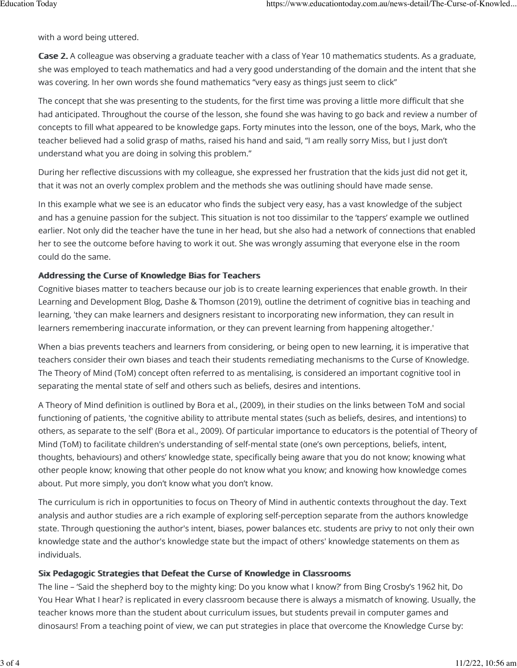with a word being uttered.

Case 2. A colleague was observing a graduate teacher with a class of Year 10 mathematics students. As a graduate, she was employed to teach mathematics and had a very good understanding of the domain and the intent that she was covering. In her own words she found mathematics "very easy as things just seem to click"

The concept that she was presenting to the students, for the first time was proving a little more difficult that she had anticipated. Throughout the course of the lesson, she found she was having to go back and review a number of concepts to fill what appeared to be knowledge gaps. Forty minutes into the lesson, one of the boys, Mark, who the teacher believed had a solid grasp of maths, raised his hand and said, "I am really sorry Miss, but I just don't understand what you are doing in solving this problem."

During her reflective discussions with my colleague, she expressed her frustration that the kids just did not get it, that it was not an overly complex problem and the methods she was outlining should have made sense.

In this example what we see is an educator who finds the subject very easy, has a vast knowledge of the subject and has a genuine passion for the subject. This situation is not too dissimilar to the 'tappers' example we outlined earlier. Not only did the teacher have the tune in her head, but she also had a network of connections that enabled her to see the outcome before having to work it out. She was wrongly assuming that everyone else in the room could do the same.

# Addressing the Curse of Knowledge Bias for Teachers

Cognitive biases matter to teachers because our job is to create learning experiences that enable growth. In their Learning and Development Blog, Dashe & Thomson (2019), outline the detriment of cognitive bias in teaching and learning, 'they can make learners and designers resistant to incorporating new information, they can result in learners remembering inaccurate information, or they can prevent learning from happening altogether.'

When a bias prevents teachers and learners from considering, or being open to new learning, it is imperative that teachers consider their own biases and teach their students remediating mechanisms to the Curse of Knowledge. The Theory of Mind (ToM) concept often referred to as mentalising, is considered an important cognitive tool in separating the mental state of self and others such as beliefs, desires and intentions.

A Theory of Mind definition is outlined by Bora et al., (2009), in their studies on the links between ToM and social functioning of patients, 'the cognitive ability to attribute mental states (such as beliefs, desires, and intentions) to others, as separate to the self' (Bora et al., 2009). Of particular importance to educators is the potential of Theory of Mind (ToM) to facilitate children's understanding of self-mental state (one's own perceptions, beliefs, intent, thoughts, behaviours) and others' knowledge state, specifically being aware that you do not know; knowing what other people know; knowing that other people do not know what you know; and knowing how knowledge comes about. Put more simply, you don't know what you don't know.

The curriculum is rich in opportunities to focus on Theory of Mind in authentic contexts throughout the day. Text analysis and author studies are a rich example of exploring self-perception separate from the authors knowledge state. Through questioning the author's intent, biases, power balances etc. students are privy to not only their own knowledge state and the author's knowledge state but the impact of others' knowledge statements on them as individuals.

# Six Pedagogic Strategies that Defeat the Curse of Knowledge in Classrooms

The line – 'Said the shepherd boy to the mighty king: Do you know what I know?' from Bing Crosby's 1962 hit, Do You Hear What I hear? is replicated in every classroom because there is always a mismatch of knowing. Usually, the teacher knows more than the student about curriculum issues, but students prevail in computer games and dinosaurs! From a teaching point of view, we can put strategies in place that overcome the Knowledge Curse by: